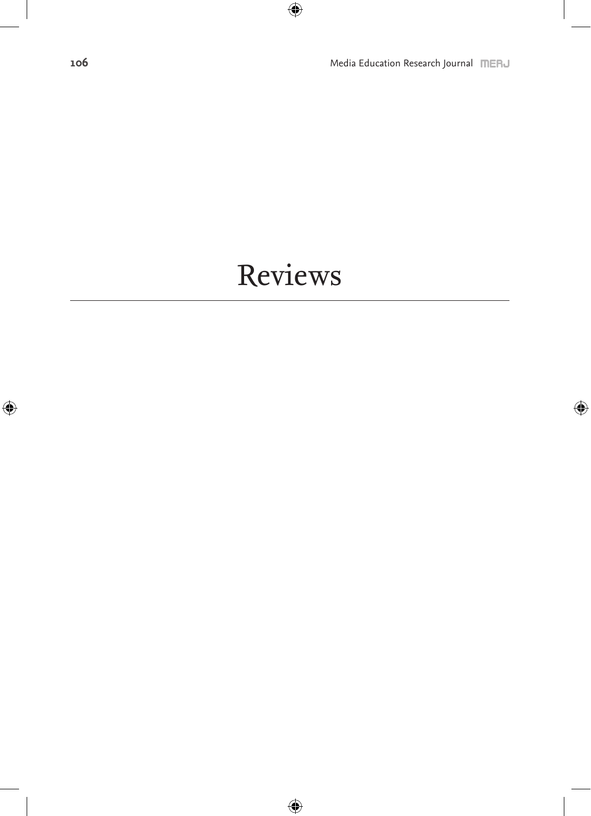## Reviews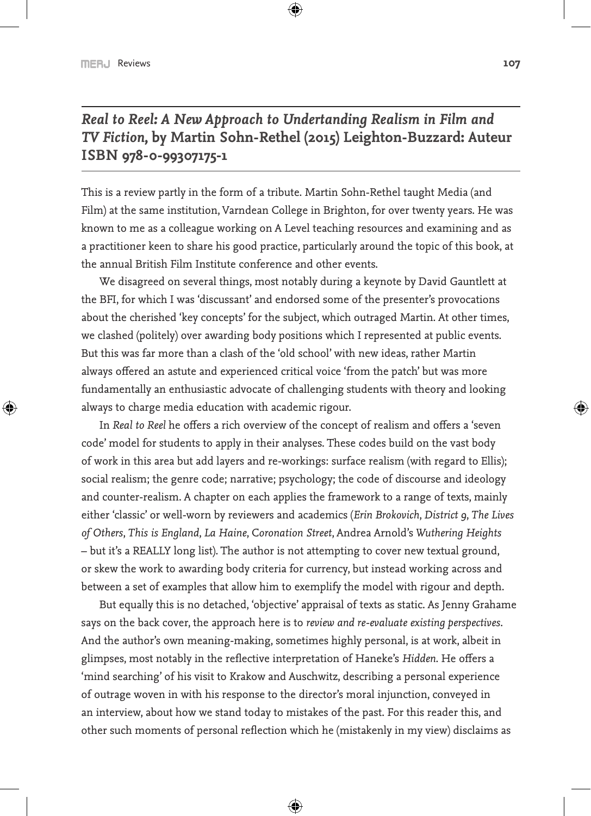*Real to Reel: A New Approach to Undertanding Realism in Film and TV Fiction***, by Martin Sohn-Rethel (2015) Leighton-Buzzard: Auteur ISBN 978-0-99307175-1**

This is a review partly in the form of a tribute. Martin Sohn-Rethel taught Media (and Film) at the same institution, Varndean College in Brighton, for over twenty years. He was known to me as a colleague working on A Level teaching resources and examining and as a practitioner keen to share his good practice, particularly around the topic of this book, at the annual British Film Institute conference and other events.

We disagreed on several things, most notably during a keynote by David Gauntlett at the BFI, for which I was 'discussant' and endorsed some of the presenter's provocations about the cherished 'key concepts' for the subject, which outraged Martin. At other times, we clashed (politely) over awarding body positions which I represented at public events. But this was far more than a clash of the 'old school' with new ideas, rather Martin always offered an astute and experienced critical voice 'from the patch' but was more fundamentally an enthusiastic advocate of challenging students with theory and looking always to charge media education with academic rigour.

In *Real to Reel* he offers a rich overview of the concept of realism and offers a 'seven code' model for students to apply in their analyses. These codes build on the vast body of work in this area but add layers and re-workings: surface realism (with regard to Ellis); social realism; the genre code; narrative; psychology; the code of discourse and ideology and counter-realism. A chapter on each applies the framework to a range of texts, mainly either 'classic' or well-worn by reviewers and academics (*Erin Brokovich*, *District 9*, *The Lives of Others*, *This is England*, *La Haine*, C*oronation Street*, Andrea Arnold's *Wuthering Heights* – but it's a REALLY long list). The author is not attempting to cover new textual ground, or skew the work to awarding body criteria for currency, but instead working across and between a set of examples that allow him to exemplify the model with rigour and depth.

But equally this is no detached, 'objective' appraisal of texts as static. As Jenny Grahame says on the back cover, the approach here is to *review and re-evaluate existing perspectives*. And the author's own meaning-making, sometimes highly personal, is at work, albeit in glimpses, most notably in the reflective interpretation of Haneke's *Hidden*. He offers a 'mind searching' of his visit to Krakow and Auschwitz, describing a personal experience of outrage woven in with his response to the director's moral injunction, conveyed in an interview, about how we stand today to mistakes of the past. For this reader this, and other such moments of personal reflection which he (mistakenly in my view) disclaims as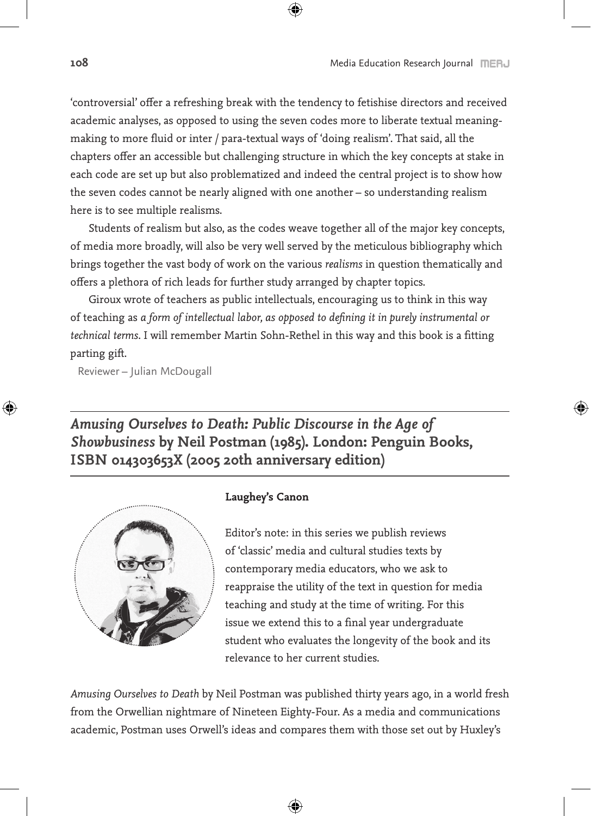'controversial' offer a refreshing break with the tendency to fetishise directors and received academic analyses, as opposed to using the seven codes more to liberate textual meaningmaking to more fluid or inter / para-textual ways of 'doing realism'. That said, all the chapters offer an accessible but challenging structure in which the key concepts at stake in each code are set up but also problematized and indeed the central project is to show how the seven codes cannot be nearly aligned with one another – so understanding realism here is to see multiple realisms.

Students of realism but also, as the codes weave together all of the major key concepts, of media more broadly, will also be very well served by the meticulous bibliography which brings together the vast body of work on the various *realisms* in question thematically and offers a plethora of rich leads for further study arranged by chapter topics.

Giroux wrote of teachers as public intellectuals, encouraging us to think in this way of teaching as *a form of intellectual labor, as opposed to defining it in purely instrumental or technical terms*. I will remember Martin Sohn-Rethel in this way and this book is a fitting parting gift.

Reviewer – Julian McDougall

*Amusing Ourselves to Death: Public Discourse in the Age of Showbusiness* **by Neil Postman (1985). London: Penguin Books, ISBN 014303653X (2005 20th anniversary edition)**



## **Laughey's Canon**

Editor's note: in this series we publish reviews of 'classic' media and cultural studies texts by contemporary media educators, who we ask to reappraise the utility of the text in question for media teaching and study at the time of writing. For this issue we extend this to a final year undergraduate student who evaluates the longevity of the book and its relevance to her current studies.

*Amusing Ourselves to Death* by Neil Postman was published thirty years ago, in a world fresh from the Orwellian nightmare of Nineteen Eighty-Four. As a media and communications academic, Postman uses Orwell's ideas and compares them with those set out by Huxley's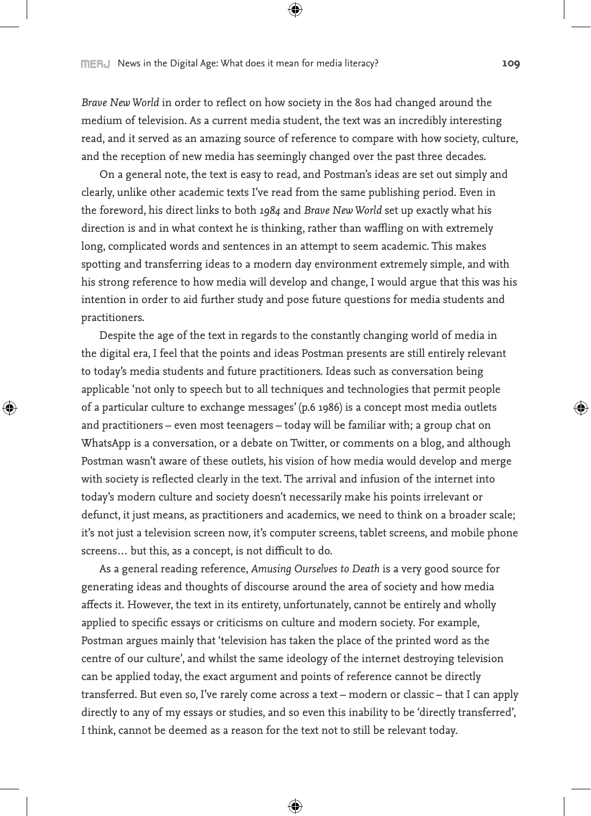*Brave New World* in order to reflect on how society in the 80s had changed around the medium of television. As a current media student, the text was an incredibly interesting read, and it served as an amazing source of reference to compare with how society, culture, and the reception of new media has seemingly changed over the past three decades.

On a general note, the text is easy to read, and Postman's ideas are set out simply and clearly, unlike other academic texts I've read from the same publishing period. Even in the foreword, his direct links to both *1984* and *Brave New World* set up exactly what his direction is and in what context he is thinking, rather than waffling on with extremely long, complicated words and sentences in an attempt to seem academic. This makes spotting and transferring ideas to a modern day environment extremely simple, and with his strong reference to how media will develop and change, I would argue that this was his intention in order to aid further study and pose future questions for media students and practitioners.

Despite the age of the text in regards to the constantly changing world of media in the digital era, I feel that the points and ideas Postman presents are still entirely relevant to today's media students and future practitioners. Ideas such as conversation being applicable 'not only to speech but to all techniques and technologies that permit people of a particular culture to exchange messages' (p.6 1986) is a concept most media outlets and practitioners – even most teenagers – today will be familiar with; a group chat on WhatsApp is a conversation, or a debate on Twitter, or comments on a blog, and although Postman wasn't aware of these outlets, his vision of how media would develop and merge with society is reflected clearly in the text. The arrival and infusion of the internet into today's modern culture and society doesn't necessarily make his points irrelevant or defunct, it just means, as practitioners and academics, we need to think on a broader scale; it's not just a television screen now, it's computer screens, tablet screens, and mobile phone screens… but this, as a concept, is not difficult to do.

As a general reading reference, *Amusing Ourselves to Death* is a very good source for generating ideas and thoughts of discourse around the area of society and how media affects it. However, the text in its entirety, unfortunately, cannot be entirely and wholly applied to specific essays or criticisms on culture and modern society. For example, Postman argues mainly that 'television has taken the place of the printed word as the centre of our culture', and whilst the same ideology of the internet destroying television can be applied today, the exact argument and points of reference cannot be directly transferred. But even so, I've rarely come across a text – modern or classic – that I can apply directly to any of my essays or studies, and so even this inability to be 'directly transferred', I think, cannot be deemed as a reason for the text not to still be relevant today.